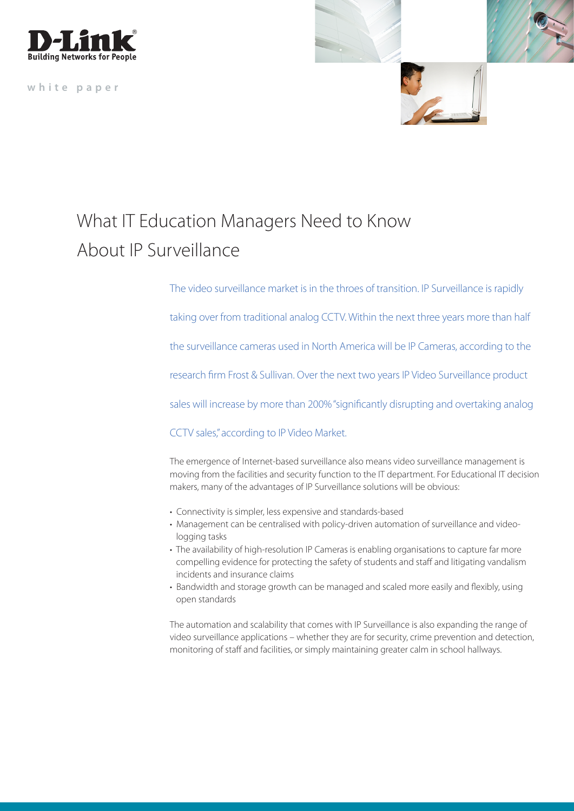

**white paper**



## What IT Education Managers Need to Know About IP Surveillance

The video surveillance market is in the throes of transition. IP Surveillance is rapidly

taking over from traditional analog CCTV. Within the next three years more than half

the surveillance cameras used in North America will be IP Cameras, according to the

research firm Frost & Sullivan. Over the next two years IP Video Surveillance product

sales will increase by more than 200% "significantly disrupting and overtaking analog

CCTV sales," according to IP Video Market.

The emergence of Internet-based surveillance also means video surveillance management is moving from the facilities and security function to the IT department. For Educational IT decision makers, many of the advantages of IP Surveillance solutions will be obvious:

- Connectivity is simpler, less expensive and standards-based
- Management can be centralised with policy-driven automation of surveillance and video logging tasks
- The availability of high-resolution IP Cameras is enabling organisations to capture far more compelling evidence for protecting the safety of students and staff and litigating vandalism incidents and insurance claims
- Bandwidth and storage growth can be managed and scaled more easily and flexibly, using open standards

The automation and scalability that comes with IP Surveillance is also expanding the range of video surveillance applications – whether they are for security, crime prevention and detection, monitoring of staff and facilities, or simply maintaining greater calm in school hallways.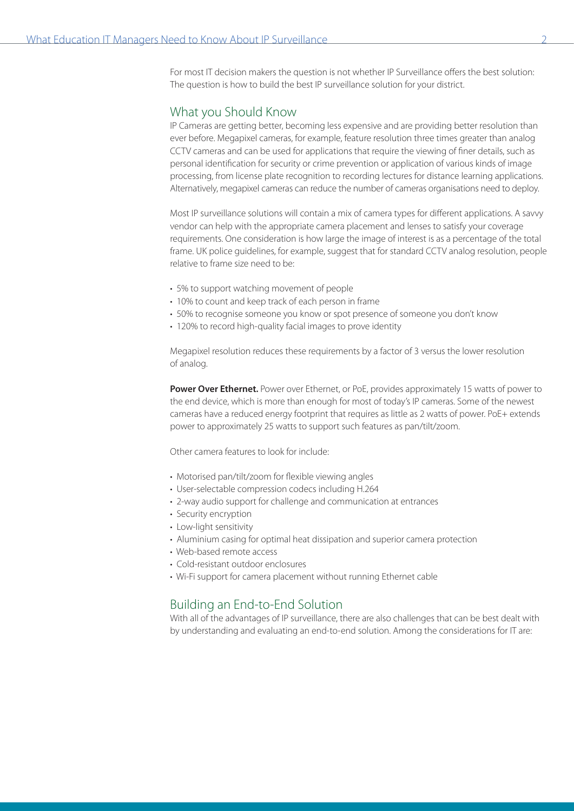For most IT decision makers the question is not whether IP Surveillance offers the best solution: The question is how to build the best IP surveillance solution for your district.

## What you Should Know

IP Cameras are getting better, becoming less expensive and are providing better resolution than ever before. Megapixel cameras, for example, feature resolution three times greater than analog CCTV cameras and can be used for applications that require the viewing of finer details, such as personal identification for security or crime prevention or application of various kinds of image processing, from license plate recognition to recording lectures for distance learning applications. Alternatively, megapixel cameras can reduce the number of cameras organisations need to deploy.

Most IP surveillance solutions will contain a mix of camera types for different applications. A savvy vendor can help with the appropriate camera placement and lenses to satisfy your coverage requirements. One consideration is how large the image of interest is as a percentage of the total frame. UK police guidelines, for example, suggest that for standard CCTV analog resolution, people relative to frame size need to be:

- 5% to support watching movement of people
- 10% to count and keep track of each person in frame
- 50% to recognise someone you know or spot presence of someone you don't know
- 120% to record high-quality facial images to prove identity

Megapixel resolution reduces these requirements by a factor of 3 versus the lower resolution of analog.

**Power Over Ethernet.** Power over Ethernet, or PoE, provides approximately 15 watts of power to the end device, which is more than enough for most of today's IP cameras. Some of the newest cameras have a reduced energy footprint that requires as little as 2 watts of power. PoE+ extends power to approximately 25 watts to support such features as pan/tilt/zoom.

Other camera features to look for include:

- Motorised pan/tilt/zoom for flexible viewing angles
- User-selectable compression codecs including H.264
- 2-way audio support for challenge and communication at entrances
- Security encryption
- Low-light sensitivity
- Aluminium casing for optimal heat dissipation and superior camera protection
- Web-based remote access
- Cold-resistant outdoor enclosures
- Wi-Fi support for camera placement without running Ethernet cable

## Building an End-to-End Solution

With all of the advantages of IP surveillance, there are also challenges that can be best dealt with by understanding and evaluating an end-to-end solution. Among the considerations for IT are: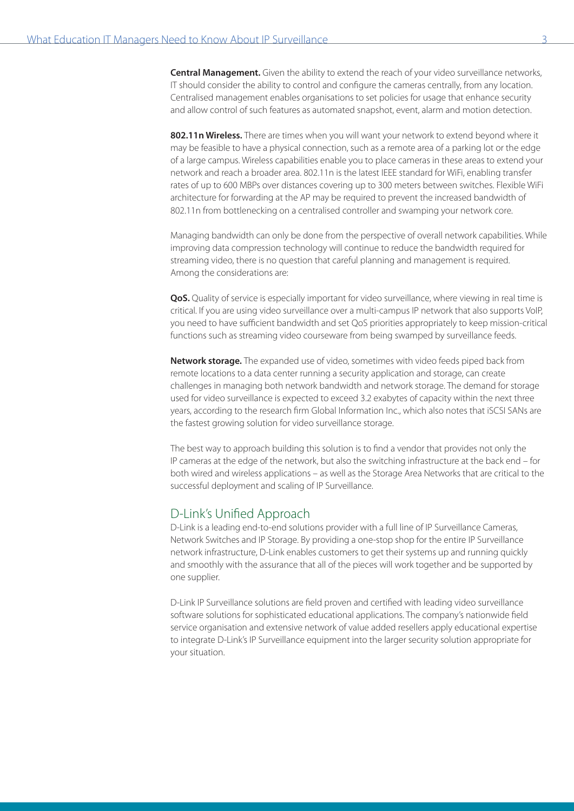**Central Management.** Given the ability to extend the reach of your video surveillance networks, IT should consider the ability to control and configure the cameras centrally, from any location. Centralised management enables organisations to set policies for usage that enhance security and allow control of such features as automated snapshot, event, alarm and motion detection.

**802.11n Wireless.** There are times when you will want your network to extend beyond where it may be feasible to have a physical connection, such as a remote area of a parking lot or the edge of a large campus. Wireless capabilities enable you to place cameras in these areas to extend your network and reach a broader area. 802.11n is the latest IEEE standard for WiFi, enabling transfer rates of up to 600 MBPs over distances covering up to 300 meters between switches. Flexible WiFi architecture for forwarding at the AP may be required to prevent the increased bandwidth of 802.11n from bottlenecking on a centralised controller and swamping your network core.

Managing bandwidth can only be done from the perspective of overall network capabilities. While improving data compression technology will continue to reduce the bandwidth required for streaming video, there is no question that careful planning and management is required. Among the considerations are:

**QoS.** Quality of service is especially important for video surveillance, where viewing in real time is critical. If you are using video surveillance over a multi-campus IP network that also supports VoIP, you need to have sufficient bandwidth and set QoS priorities appropriately to keep mission-critical functions such as streaming video courseware from being swamped by surveillance feeds.

**Network storage.** The expanded use of video, sometimes with video feeds piped back from remote locations to a data center running a security application and storage, can create challenges in managing both network bandwidth and network storage. The demand for storage used for video surveillance is expected to exceed 3.2 exabytes of capacity within the next three years, according to the research firm Global Information Inc., which also notes that iSCSI SANs are the fastest growing solution for video surveillance storage.

The best way to approach building this solution is to find a vendor that provides not only the IP cameras at the edge of the network, but also the switching infrastructure at the back end – for both wired and wireless applications – as well as the Storage Area Networks that are critical to the successful deployment and scaling of IP Surveillance.

## D-Link's Unified Approach

D-Link is a leading end-to-end solutions provider with a full line of IP Surveillance Cameras, Network Switches and IP Storage. By providing a one-stop shop for the entire IP Surveillance network infrastructure, D-Link enables customers to get their systems up and running quickly and smoothly with the assurance that all of the pieces will work together and be supported by one supplier.

D-Link IP Surveillance solutions are field proven and certified with leading video surveillance software solutions for sophisticated educational applications. The company's nationwide field service organisation and extensive network of value added resellers apply educational expertise to integrate D-Link's IP Surveillance equipment into the larger security solution appropriate for your situation.